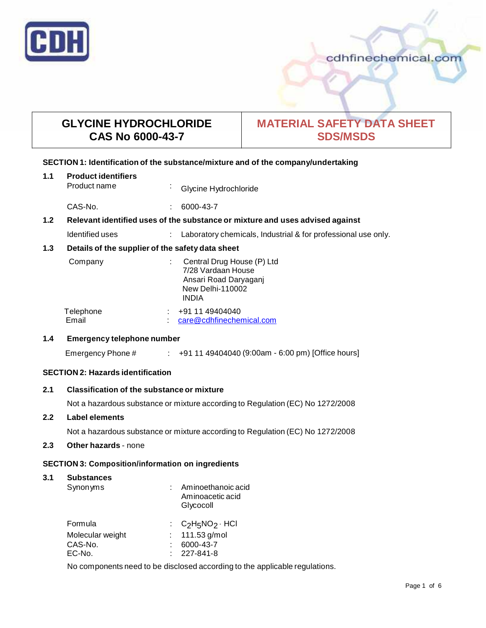

# cdhfinechemical.com

# **GLYCINE HYDROCHLORIDE CAS No 6000-43-7**

# **MATERIAL SAFETY DATA SHEET SDS/MSDS**

#### **SECTION 1: Identification of the substance/mixture and of the company/undertaking**

| 1.1 | <b>Product identifiers</b><br>Product name                                    | $\sim$ | Glycine Hydrochloride                                                                                                |  |
|-----|-------------------------------------------------------------------------------|--------|----------------------------------------------------------------------------------------------------------------------|--|
|     | CAS-No.                                                                       |        | 6000-43-7                                                                                                            |  |
| 1.2 | Relevant identified uses of the substance or mixture and uses advised against |        |                                                                                                                      |  |
|     | Identified uses                                                               |        | Laboratory chemicals, Industrial & for professional use only.                                                        |  |
| 1.3 | Details of the supplier of the safety data sheet                              |        |                                                                                                                      |  |
|     | Company                                                                       |        | Central Drug House (P) Ltd<br>7/28 Vardaan House<br>Ansari Road Daryaganj<br><b>New Delhi-110002</b><br><b>INDIA</b> |  |
|     | Telephone<br>Email                                                            |        | +91 11 49404040<br>care@cdhfinechemical.com                                                                          |  |
|     |                                                                               |        |                                                                                                                      |  |

#### **1.4 Emergency telephone number**

Emergency Phone # : +91 11 49404040 (9:00am - 6:00 pm) [Office hours]

# **SECTION 2: Hazards identification**

## **2.1 Classification of the substance ormixture**

Not a hazardous substance or mixture according to Regulation (EC) No 1272/2008

#### **2.2 Label elements**

Not a hazardous substance or mixture according to Regulation (EC) No 1272/2008

# **2.3 Other hazards** - none

## **SECTION 3: Composition/information on ingredients**

#### **3.1 Substances**

| Synonyms         | Aminoethanoic acid<br>Aminoacetic acid<br>Glycocoll |
|------------------|-----------------------------------------------------|
| Formula          | : $C_2H_5NO_2 \cdot HCl$                            |
| Molecular weight | : $111.53$ g/mol                                    |
| CAS-No.          | 6000-43-7                                           |
| EC-No.           | $: 227 - 841 - 8$                                   |

No components need to be disclosed according to the applicable regulations.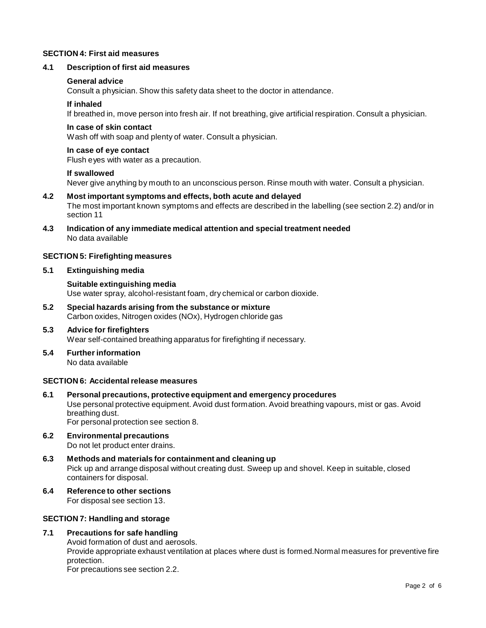## **SECTION 4: First aid measures**

#### **4.1 Description of first aid measures**

#### **General advice**

Consult a physician. Show this safety data sheet to the doctor in attendance.

#### **If inhaled**

If breathed in, move person into fresh air. If not breathing, give artificial respiration. Consult a physician.

#### **In case of skin contact**

Wash off with soap and plenty of water. Consult a physician.

#### **In case of eye contact**

Flush eyes with water as a precaution.

#### **If swallowed**

Never give anything by mouth to an unconscious person. Rinse mouth with water. Consult a physician.

#### **4.2 Most important symptoms and effects, both acute and delayed** The most important known symptoms and effects are described in the labelling (see section 2.2) and/or in section 11

**4.3 Indication of any immediate medical attention and special treatment needed** No data available

#### **SECTION 5: Firefighting measures**

#### **5.1 Extinguishing media**

#### **Suitable extinguishing media** Use water spray, alcohol-resistant foam, dry chemical or carbon dioxide.

**5.2 Special hazards arising from the substance ormixture** Carbon oxides, Nitrogen oxides (NOx), Hydrogen chloride gas

#### **5.3 Advice for firefighters** Wear self-contained breathing apparatus for firefighting if necessary.

**5.4 Further information** No data available

#### **SECTION 6: Accidentalrelease measures**

- **6.1 Personal precautions, protective equipment and emergency procedures** Use personal protective equipment. Avoid dust formation. Avoid breathing vapours, mist or gas. Avoid breathing dust. For personal protection see section 8.
- **6.2 Environmental precautions** Do not let product enter drains.
- **6.3 Methods and materials for containment and cleaning up** Pick up and arrange disposal without creating dust. Sweep up and shovel. Keep in suitable, closed containers for disposal.
- **6.4 Reference to other sections** For disposal see section 13.

### **SECTION 7: Handling and storage**

### **7.1 Precautions for safe handling**

Avoid formation of dust and aerosols. Provide appropriate exhaust ventilation at places where dust is formed.Normal measures for preventive fire protection. For precautions see section 2.2.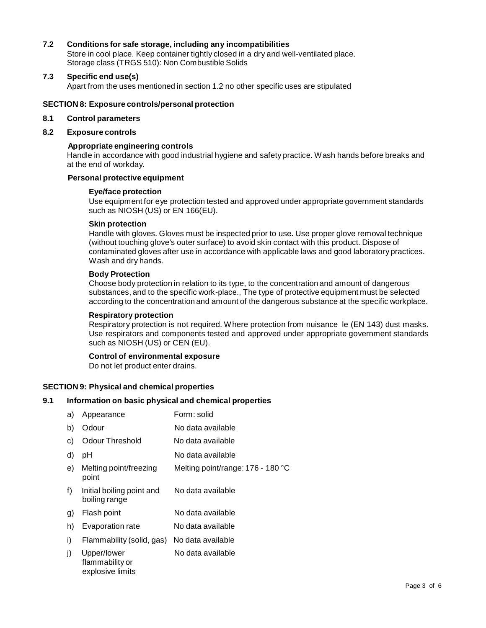## **7.2 Conditions for safe storage, including any incompatibilities**

Store in cool place. Keep container tightly closed in a dry and well-ventilated place. Storage class (TRGS 510): Non Combustible Solids

#### **7.3 Specific end use(s)**

Apart from the uses mentioned in section 1.2 no other specific uses are stipulated

#### **SECTION 8: Exposure controls/personal protection**

#### **8.1 Control parameters**

#### **8.2 Exposure controls**

#### **Appropriate engineering controls**

Handle in accordance with good industrial hygiene and safety practice. Wash hands before breaks and at the end of workday.

#### **Personal protective equipment**

#### **Eye/face protection**

Use equipment for eye protection tested and approved under appropriate government standards such as NIOSH (US) or EN 166(EU).

#### **Skin protection**

Handle with gloves. Gloves must be inspected prior to use. Use proper glove removal technique (without touching glove's outer surface) to avoid skin contact with this product. Dispose of contaminated gloves after use in accordance with applicable laws and good laboratory practices. Wash and dry hands.

#### **Body Protection**

Choose body protection in relation to its type, to the concentration and amount of dangerous substances, and to the specific work-place., The type of protective equipment must be selected according to the concentration and amount of the dangerous substance at the specific workplace.

#### **Respiratory protection**

Respiratory protection is not required. Where protection from nuisance le (EN 143) dust masks. Use respirators and components tested and approved under appropriate government standards such as NIOSH (US) or CEN (EU).

#### **Control of environmental exposure**

Do not let product enter drains.

#### **SECTION 9: Physical and chemical properties**

#### **9.1 Information on basic physical and chemical properties**

| a) | Appearance                                         | Form: solid                       |
|----|----------------------------------------------------|-----------------------------------|
| b) | Odour                                              | No data available                 |
| C) | <b>Odour Threshold</b>                             | No data available                 |
| d) | рH                                                 | No data available                 |
| e) | Melting point/freezing<br>point                    | Melting point/range: 176 - 180 °C |
| f) | Initial boiling point and<br>boiling range         | No data available                 |
| g) | Flash point                                        | No data available                 |
| h) | Evaporation rate                                   | No data available                 |
| i) | Flammability (solid, gas)                          | No data available                 |
| j) | Upper/lower<br>flammability or<br>explosive limits | No data available                 |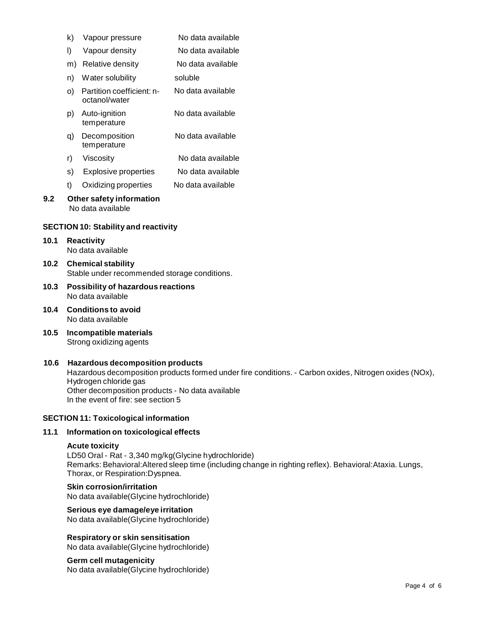| k)  | Vapour pressure                               | No data available |  |
|-----|-----------------------------------------------|-------------------|--|
| I)  | Vapour density                                | No data available |  |
| m)  | Relative density                              | No data available |  |
| n)  | Water solubility                              | soluble           |  |
| O). | Partition coefficient: n-<br>octanol/water    | No data available |  |
| p)  | Auto-ignition<br>temperature                  | No data available |  |
| q)  | Decomposition<br>temperature                  | No data available |  |
| r)  | Viscosity                                     | No data available |  |
| s)  | Explosive properties                          | No data available |  |
| t)  | Oxidizing properties                          | No data available |  |
| 9.2 | Other safety information<br>No data available |                   |  |

# **SECTION 10: Stability and reactivity**

#### **10.1 Reactivity** No data available

- **10.2 Chemical stability** Stable under recommended storage conditions.
- **10.3 Possibility of hazardous reactions** No data available
- **10.4 Conditions to avoid** No data available
- **10.5 Incompatible materials** Strong oxidizing agents

#### **10.6 Hazardous decomposition products**

Hazardous decomposition products formed under fire conditions. - Carbon oxides, Nitrogen oxides (NOx), Hydrogen chloride gas Other decomposition products - No data available In the event of fire: see section 5

### **SECTION 11: Toxicological information**

# **11.1 Information on toxicological effects**

#### **Acute toxicity**

LD50 Oral - Rat - 3,340 mg/kg(Glycine hydrochloride) Remarks: Behavioral:Altered sleep time (including change in righting reflex). Behavioral:Ataxia. Lungs, Thorax, or Respiration:Dyspnea.

#### **Skin corrosion/irritation**

No data available(Glycine hydrochloride)

# **Serious eye damage/eye irritation**

No data available(Glycine hydrochloride)

**Respiratory orskin sensitisation** No data available(Glycine hydrochloride)

# **Germ cell mutagenicity**

No data available(Glycine hydrochloride)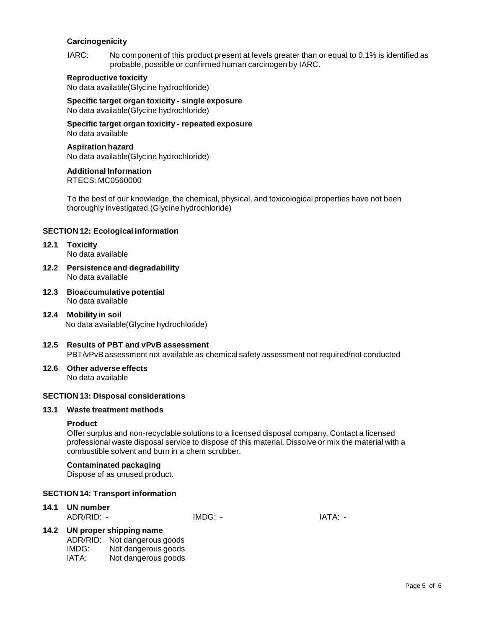#### **Carcinogenicity**

IARC: No component of this product present at levels greater than or equal to 0.1% is identified as probable, possible or confirmed human carcinogen by IARC.

#### **Reproductive toxicity**

No data available(Glycine hydrochloride)

**Specific target organ toxicity - single exposure** No data available(Glycine hydrochloride)

**Specific target organ toxicity - repeated exposure** No data available

#### **Aspiration hazard**

No data available(Glycine hydrochloride)

# **Additional Information**

RTECS: MC0560000

To the best of our knowledge, the chemical, physical, and toxicological properties have not been thoroughly investigated.(Glycine hydrochloride)

# **SECTION 12: Ecological information**

- **12.1 Toxicity** No data available
- **12.2 Persistence and degradability** No data available
- **12.3 Bioaccumulative potential** No data available
- **12.4 Mobility in soil** No data available(Glycine hydrochloride)
- **12.5 Results of PBT and vPvB assessment** PBT/vPvB assessment not available as chemical safety assessment not required/not conducted
- **12.6 Other adverse effects** No data available

#### **SECTION 13: Disposal considerations**

#### **13.1 Waste treatment methods**

#### **Product**

Offer surplus and non-recyclable solutions to a licensed disposal company. Contact a licensed professional waste disposal service to dispose of this material. Dissolve or mix the material with a combustible solvent and burn in a chem scrubber.

#### **Contaminated packaging**

Dispose of as unused product.

#### **SECTION 14: Transport information**

# **14.1 UN number**

ADR/RID: - IMDG: - IATA: -

#### **14.2 UN proper shipping name**

- ADR/RID: Not dangerous goods<br>IMDG: Not dangerous goods IMDG: Not dangerous goods<br>IATA: Not dangerous goods
- Not dangerous goods